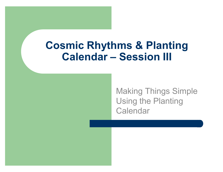### **Cosmic Rhythms & Planting Calendar - Session III**

**Making Things Simple Using the Planting** Calendar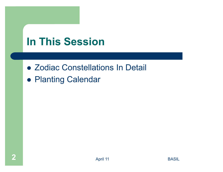## **In This Session**

- Zodiac Constellations In Detail
- Planting Calendar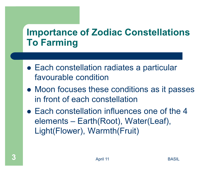#### **Importance of Zodiac Constellations To Farming**

- Each constellation radiates a particular favourable condition
- Moon focuses these conditions as it passes in front of each constellation
- Each constellation influences one of the 4 elements – Earth(Root), Water(Leaf), Light(Flower), Warmth(Fruit)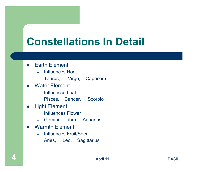# **Constellations In Detail**

- Earth Element
	- Influences Root
	- Taurus, Virgo, Capricorn
- Water Element
	- Influences Leaf
	- Pisces, Cancer, Scorpio
- **Light Element**  $\bullet$ 
	- Influences Flower
	- Gemini, Libra, Aquarius
- **Warmth Flement** 
	- Influences Fruit/Seed
	- Aries, Leo, Sagittarius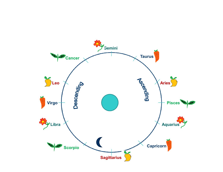